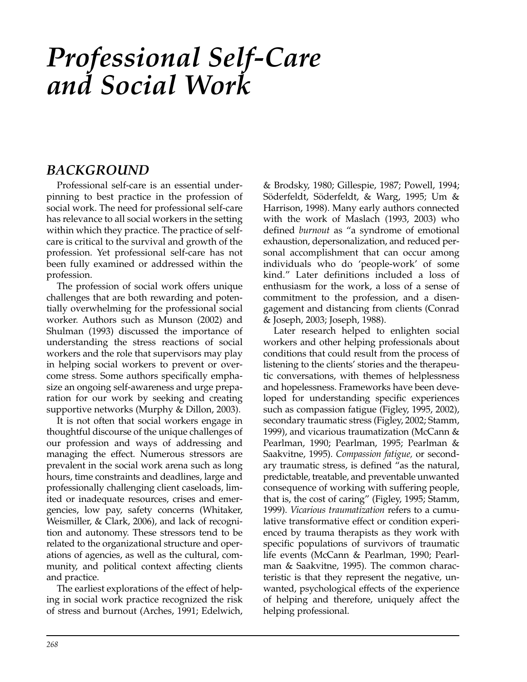# *Professional Self-Care and Social Work*

## *BACKGROUND*

Professional self-care is an essential underpinning to best practice in the profession of social work. The need for professional self-care has relevance to all social workers in the setting within which they practice. The practice of selfcare is critical to the survival and growth of the profession. Yet professional self-care has not been fully examined or addressed within the profession.

The profession of social work offers unique challenges that are both rewarding and potentially overwhelming for the professional social worker. Authors such as Munson (2002) and Shulman (1993) discussed the importance of understanding the stress reactions of social workers and the role that supervisors may play in helping social workers to prevent or overcome stress. Some authors specifically emphasize an ongoing self-awareness and urge preparation for our work by seeking and creating supportive networks (Murphy & Dillon, 2003).

It is not often that social workers engage in thoughtful discourse of the unique challenges of our profession and ways of addressing and managing the effect. Numerous stressors are prevalent in the social work arena such as long hours, time constraints and deadlines, large and professionally challenging client caseloads, limited or inadequate resources, crises and emergencies, low pay, safety concerns (Whitaker, Weismiller, & Clark, 2006), and lack of recognition and autonomy. These stressors tend to be related to the organizational structure and operations of agencies, as well as the cultural, community, and political context affecting clients and practice.

The earliest explorations of the effect of helping in social work practice recognized the risk of stress and burnout (Arches, 1991; Edelwich, & Brodsky, 1980; Gillespie, 1987; Powell, 1994; Söderfeldt, Söderfeldt, & Warg, 1995; Um & Harrison, 1998). Many early authors connected with the work of Maslach (1993, 2003) who defined *burnout* as "a syndrome of emotional exhaustion, depersonalization, and reduced personal accomplishment that can occur among individuals who do 'people-work' of some kind." Later definitions included a loss of enthusiasm for the work, a loss of a sense of commitment to the profession, and a disengagement and distancing from clients (Conrad & Joseph, 2003; Joseph, 1988).

Later research helped to enlighten social workers and other helping professionals about conditions that could result from the process of listening to the clients' stories and the therapeutic conversations, with themes of helplessness and hopelessness. Frameworks have been developed for understanding specific experiences such as compassion fatigue (Figley, 1995, 2002), secondary traumatic stress (Figley, 2002; Stamm, 1999), and vicarious traumatization (McCann & Pearlman, 1990; Pearlman, 1995; Pearlman & Saakvitne, 1995). *Compassion fatigue,* or secondary traumatic stress, is defined "as the natural, predictable, treatable, and preventable unwanted consequence of working with suffering people, that is, the cost of caring" (Figley, 1995; Stamm, 1999). *Vicarious traumatization* refers to a cumulative transformative effect or condition experienced by trauma therapists as they work with specific populations of survivors of traumatic life events (McCann & Pearlman, 1990; Pearlman & Saakvitne, 1995). The common characteristic is that they represent the negative, unwanted, psychological effects of the experience of helping and therefore, uniquely affect the helping professional.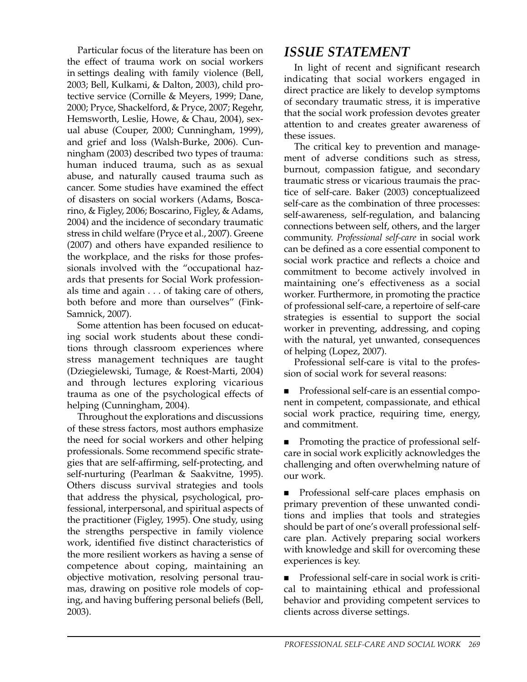Particular focus of the literature has been on the effect of trauma work on social workers in settings dealing with family violence (Bell, 2003; Bell, Kulkami, & Dalton, 2003), child protective service (Cornille & Meyers, 1999; Dane, 2000; Pryce, Shackelford, & Pryce, 2007; Regehr, Hemsworth, Leslie, Howe, & Chau, 2004), sexual abuse (Couper, 2000; Cunningham, 1999), and grief and loss (Walsh-Burke, 2006). Cunningham (2003) described two types of trauma: human induced trauma, such as as sexual abuse, and naturally caused trauma such as cancer. Some studies have examined the effect of disasters on social workers (Adams, Boscarino, & Figley, 2006; Boscarino, Figley, & Adams, 2004) and the incidence of secondary traumatic stress in child welfare (Pryce et al., 2007). Greene (2007) and others have expanded resilience to the workplace, and the risks for those professionals involved with the "occupational hazards that presents for Social Work professionals time and again . . . of taking care of others, both before and more than ourselves" (Fink-Samnick, 2007).

Some attention has been focused on educating social work students about these conditions through classroom experiences where stress management techniques are taught (Dziegielewski, Tumage, & Roest-Marti, 2004) and through lectures exploring vicarious trauma as one of the psychological effects of helping (Cunningham, 2004).

Throughout the explorations and discussions of these stress factors, most authors emphasize the need for social workers and other helping professionals. Some recommend specific strategies that are self-affirming, self-protecting, and self-nurturing (Pearlman & Saakvitne, 1995). Others discuss survival strategies and tools that address the physical, psychological, professional, interpersonal, and spiritual aspects of the practitioner (Figley, 1995). One study, using the strengths perspective in family violence work, identified five distinct characteristics of the more resilient workers as having a sense of competence about coping, maintaining an objective motivation, resolving personal traumas, drawing on positive role models of coping, and having buffering personal beliefs (Bell, 2003).

#### *ISSUE STATEMENT*

In light of recent and significant research indicating that social workers engaged in direct practice are likely to develop symptoms of secondary traumatic stress, it is imperative that the social work profession devotes greater attention to and creates greater awareness of these issues.

The critical key to prevention and management of adverse conditions such as stress, burnout, compassion fatigue, and secondary traumatic stress or vicarious traumais the practice of self-care. Baker (2003) conceptualizeed self-care as the combination of three processes: self-awareness, self-regulation, and balancing connections between self, others, and the larger community. *Professional self-care* in social work can be defined as a core essential component to social work practice and reflects a choice and commitment to become actively involved in maintaining one's effectiveness as a social worker. Furthermore, in promoting the practice of professional self-care, a repertoire of self-care strategies is essential to support the social worker in preventing, addressing, and coping with the natural, yet unwanted, consequences of helping (Lopez, 2007).

Professional self-care is vital to the profession of social work for several reasons:

**Professional self-care is an essential compo**nent in competent, compassionate, and ethical social work practice, requiring time, energy, and commitment.

**Promoting the practice of professional self**care in social work explicitly acknowledges the challenging and often overwhelming nature of our work.

 Professional self-care places emphasis on primary prevention of these unwanted conditions and implies that tools and strategies should be part of one's overall professional selfcare plan. Actively preparing social workers with knowledge and skill for overcoming these experiences is key.

■ Professional self-care in social work is critical to maintaining ethical and professional behavior and providing competent services to clients across diverse settings.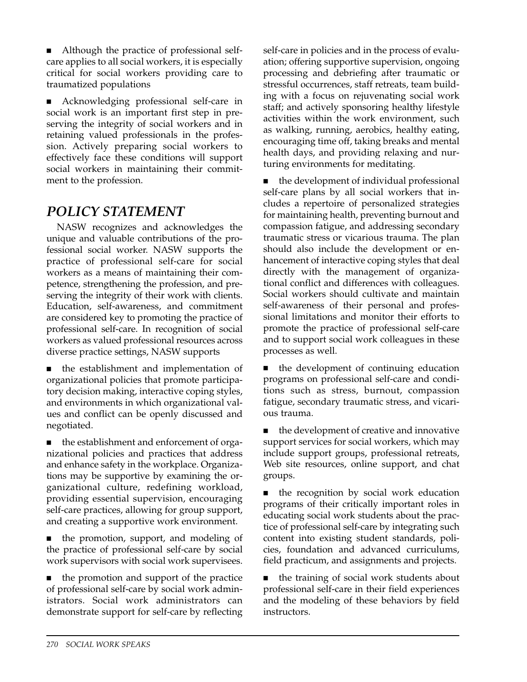Although the practice of professional selfcare applies to all social workers, it is especially critical for social workers providing care to traumatized populations

 Acknowledging professional self-care in social work is an important first step in preserving the integrity of social workers and in retaining valued professionals in the profession. Actively preparing social workers to effectively face these conditions will support social workers in maintaining their commitment to the profession.

# *POLICY STATEMENT*

NASW recognizes and acknowledges the unique and valuable contributions of the professional social worker. NASW supports the practice of professional self-care for social workers as a means of maintaining their competence, strengthening the profession, and preserving the integrity of their work with clients. Education, self-awareness, and commitment are considered key to promoting the practice of professional self-care. In recognition of social workers as valued professional resources across diverse practice settings, NASW supports

 the establishment and implementation of organizational policies that promote participatory decision making, interactive coping styles, and environments in which organizational values and conflict can be openly discussed and negotiated.

 the establishment and enforcement of organizational policies and practices that address and enhance safety in the workplace. Organizations may be supportive by examining the organizational culture, redefining workload, providing essential supervision, encouraging self-care practices, allowing for group support, and creating a supportive work environment.

 the promotion, support, and modeling of the practice of professional self-care by social work supervisors with social work supervisees.

 the promotion and support of the practice of professional self-care by social work administrators. Social work administrators can demonstrate support for self-care by reflecting self-care in policies and in the process of evaluation; offering supportive supervision, ongoing processing and debriefing after traumatic or stressful occurrences, staff retreats, team building with a focus on rejuvenating social work staff; and actively sponsoring healthy lifestyle activities within the work environment, such as walking, running, aerobics, healthy eating, encouraging time off, taking breaks and mental health days, and providing relaxing and nurturing environments for meditating.

 the development of individual professional self-care plans by all social workers that includes a repertoire of personalized strategies for maintaining health, preventing burnout and compassion fatigue, and addressing secondary traumatic stress or vicarious trauma. The plan should also include the development or enhancement of interactive coping styles that deal directly with the management of organizational conflict and differences with colleagues. Social workers should cultivate and maintain self-awareness of their personal and professional limitations and monitor their efforts to promote the practice of professional self-care and to support social work colleagues in these processes as well.

■ the development of continuing education programs on professional self-care and conditions such as stress, burnout, compassion fatigue, secondary traumatic stress, and vicarious trauma.

■ the development of creative and innovative support services for social workers, which may include support groups, professional retreats, Web site resources, online support, and chat groups.

 the recognition by social work education programs of their critically important roles in educating social work students about the practice of professional self-care by integrating such content into existing student standards, policies, foundation and advanced curriculums, field practicum, and assignments and projects.

■ the training of social work students about professional self-care in their field experiences and the modeling of these behaviors by field instructors.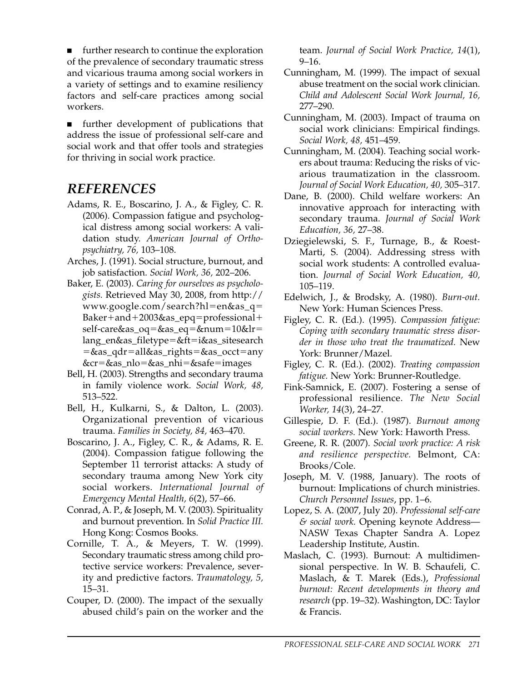**IDED** further research to continue the exploration of the prevalence of secondary traumatic stress and vicarious trauma among social workers in a variety of settings and to examine resiliency factors and self-care practices among social workers.

 further development of publications that address the issue of professional self-care and social work and that offer tools and strategies for thriving in social work practice.

## *REFERENCES*

- Adams, R. E., Boscarino, J. A., & Figley, C. R. (2006). Compassion fatigue and psychological distress among social workers: A validation study. *American Journal of Orthopsychiatry, 76,* 103–108.
- Arches, J. (1991). Social structure, burnout, and job satisfaction. *Social Work, 36,* 202–206.
- Baker, E. (2003). *Caring for ourselves as psychologists.* Retrieved May 30, 2008, from http:// www.google.com/search?hl=en&as\_q= Baker+and+2003&as\_epq=professional+ self-care&as\_oq=&as\_eq=&num=10&lr= lang\_en&as\_filetype=&ft=i&as\_sitesearch  $=\&$ as\_qdr=all&as\_rights=&as\_occt=any  $&cr = &s$ as\_n $lo = &s$ as\_nhi $= &s$ safe $=$ images
- Bell, H. (2003). Strengths and secondary trauma in family violence work. *Social Work, 48,* 513–522.
- Bell, H., Kulkarni, S., & Dalton, L. (2003). Organizational prevention of vicarious trauma. *Families in Society, 84,* 463–470.
- Boscarino, J. A., Figley, C. R., & Adams, R. E. (2004). Compassion fatigue following the September 11 terrorist attacks: A study of secondary trauma among New York city social workers. *International Journal of Emergency Mental Health, 6*(2), 57–66.
- Conrad, A. P., & Joseph, M. V. (2003). Spirituality and burnout prevention. In *Solid Practice III.* Hong Kong: Cosmos Books.
- Cornille, T. A., & Meyers, T. W. (1999). Secondary traumatic stress among child protective service workers: Prevalence, severity and predictive factors. *Traumatology, 5,* 15–31.
- Couper, D. (2000). The impact of the sexually abused child's pain on the worker and the

team. *Journal of Social Work Practice, 14*(1), 9–16.

- Cunningham, M. (1999). The impact of sexual abuse treatment on the social work clinician. *Child and Adolescent Social Work Journal, 16,* 277–290.
- Cunningham, M. (2003). Impact of trauma on social work clinicians: Empirical findings. *Social Work, 48,* 451–459.
- Cunningham, M. (2004). Teaching social workers about trauma: Reducing the risks of vicarious traumatization in the classroom. *Journal of Social Work Education, 40,* 305–317.
- Dane, B. (2000). Child welfare workers: An innovative approach for interacting with secondary trauma. *Journal of Social Work Education, 36,* 27–38.
- Dziegielewski, S. F., Turnage, B., & Roest-Marti, S. (2004). Addressing stress with social work students: A controlled evaluation. *Journal of Social Work Education, 40,* 105–119.
- Edelwich, J., & Brodsky, A. (1980). *Burn-out.* New York: Human Sciences Press.
- Figley, C. R. (Ed.). (1995). *Compassion fatigue: Coping with secondary traumatic stress disorder in those who treat the traumatized.* New York: Brunner/Mazel.
- Figley, C. R. (Ed.). (2002). *Treating compassion fatigue.* New York: Brunner-Routledge.
- Fink-Samnick, E. (2007). Fostering a sense of professional resilience. *The New Social Worker, 14*(3), 24–27.
- Gillespie, D. F. (Ed.). (1987). *Burnout among social workers.* New York: Haworth Press.
- Greene, R. R. (2007). *Social work practice: A risk and resilience perspective.* Belmont, CA: Brooks/Cole.
- Joseph, M. V. (1988, January). The roots of burnout: Implications of church ministries. *Church Personnel Issues*, pp. 1–6.
- Lopez, S. A. (2007, July 20). *Professional self-care & social work.* Opening keynote Address— NASW Texas Chapter Sandra A. Lopez Leadership Institute, Austin.
- Maslach, C. (1993). Burnout: A multidimensional perspective. In W. B. Schaufeli, C. Maslach, & T. Marek (Eds.), *Professional burnout: Recent developments in theory and research* (pp. 19–32). Washington, DC: Taylor & Francis.